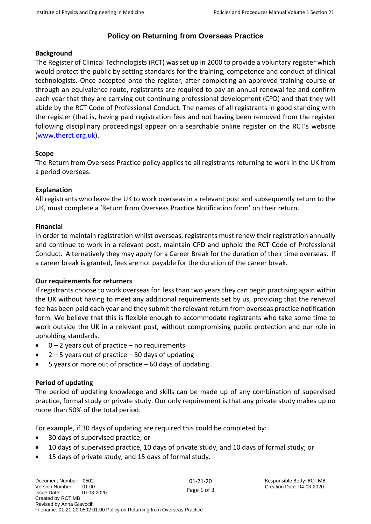## **Policy on Returning from Overseas Practice**

## **Background**

The Register of Clinical Technologists (RCT) was set up in 2000 to provide a voluntary register which would protect the public by setting standards for the training, competence and conduct of clinical technologists. Once accepted onto the register, after completing an approved training course or through an equivalence route, registrants are required to pay an annual renewal fee and confirm each year that they are carrying out continuing professional development (CPD) and that they will abide by the RCT Code of Professional Conduct. The names of all registrants in good standing with the register (that is, having paid registration fees and not having been removed from the register following disciplinary proceedings) appear on a searchable online register on the RCT's website [\(www.therct.org.uk\)](http://www.therct.org.uk/).

### **Scope**

The Return from Overseas Practice policy applies to all registrants returning to work in the UK from a period overseas.

### **Explanation**

All registrants who leave the UK to work overseas in a relevant post and subsequently return to the UK, must complete a 'Return from Overseas Practice Notification form' on their return.

### **Financial**

In order to maintain registration whilst overseas, registrants must renew their registration annually and continue to work in a relevant post, maintain CPD and uphold the RCT Code of Professional Conduct. Alternatively they may apply for a Career Break for the duration of their time overseas. If a career break is granted, fees are not payable for the duration of the career break.

## **Our requirements for returners**

If registrants choose to work overseas for less than two years they can begin practising again within the UK without having to meet any additional requirements set by us, providing that the renewal fee has been paid each year and they submit the relevant return from overseas practice notification form. We believe that this is flexible enough to accommodate registrants who take some time to work outside the UK in a relevant post, without compromising public protection and our role in upholding standards.

- $\bullet$  0 2 years out of practice no requirements
- $2 5$  years out of practice  $-30$  days of updating
- 5 years or more out of practice  $-60$  days of updating

## **Period of updating**

The period of updating knowledge and skills can be made up of any combination of supervised practice, formal study or private study. Our only requirement is that any private study makes up no more than 50% of the total period.

\_\_\_\_\_\_\_\_\_\_\_\_\_\_\_\_\_\_\_\_\_\_\_\_\_\_\_\_\_\_\_\_\_\_\_\_\_\_\_\_\_\_\_\_\_\_\_\_\_\_\_\_\_\_\_\_\_\_\_\_\_\_\_\_\_\_\_\_\_\_\_\_\_\_\_\_\_\_\_\_\_\_\_\_\_\_\_\_\_\_\_\_\_\_\_\_\_\_\_\_\_\_\_\_\_\_\_\_\_

For example, if 30 days of updating are required this could be completed by:

- 30 days of supervised practice; or
- 10 days of supervised practice, 10 days of private study, and 10 days of formal study; or
- 15 days of private study, and 15 days of formal study.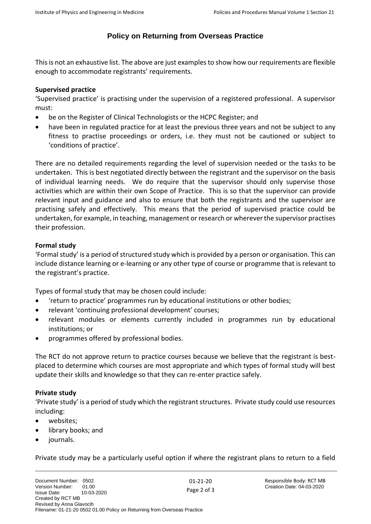## **Policy on Returning from Overseas Practice**

This is not an exhaustive list. The above are just examples to show how our requirements are flexible enough to accommodate registrants' requirements.

### **Supervised practice**

'Supervised practice' is practising under the supervision of a registered professional. A supervisor must:

- be on the Register of Clinical Technologists or the HCPC Register; and
- have been in regulated practice for at least the previous three years and not be subject to any fitness to practise proceedings or orders, i.e. they must not be cautioned or subject to 'conditions of practice'.

There are no detailed requirements regarding the level of supervision needed or the tasks to be undertaken. This is best negotiated directly between the registrant and the supervisor on the basis of individual learning needs. We do require that the supervisor should only supervise those activities which are within their own Scope of Practice. This is so that the supervisor can provide relevant input and guidance and also to ensure that both the registrants and the supervisor are practising safely and effectively. This means that the period of supervised practice could be undertaken, for example, in teaching, management or research or wherever the supervisor practises their profession.

## **Formal study**

'Formal study' is a period of structured study which is provided by a person or organisation. This can include distance learning or e-learning or any other type of course or programme that is relevant to the registrant's practice.

Types of formal study that may be chosen could include:

- 'return to practice' programmes run by educational institutions or other bodies;
- relevant 'continuing professional development' courses;
- relevant modules or elements currently included in programmes run by educational institutions; or
- programmes offered by professional bodies.

The RCT do not approve return to practice courses because we believe that the registrant is bestplaced to determine which courses are most appropriate and which types of formal study will best update their skills and knowledge so that they can re-enter practice safely.

## **Private study**

'Private study' is a period of study which the registrant structures. Private study could use resources including:

- websites:
- library books; and
- journals.

\_\_\_\_\_\_\_\_\_\_\_\_\_\_\_\_\_\_\_\_\_\_\_\_\_\_\_\_\_\_\_\_\_\_\_\_\_\_\_\_\_\_\_\_\_\_\_\_\_\_\_\_\_\_\_\_\_\_\_\_\_\_\_\_\_\_\_\_\_\_\_\_\_\_\_\_\_\_\_\_\_\_\_\_\_\_\_\_\_\_\_\_\_\_\_\_\_\_\_\_\_\_\_\_\_\_\_\_\_ Private study may be a particularly useful option if where the registrant plans to return to a field